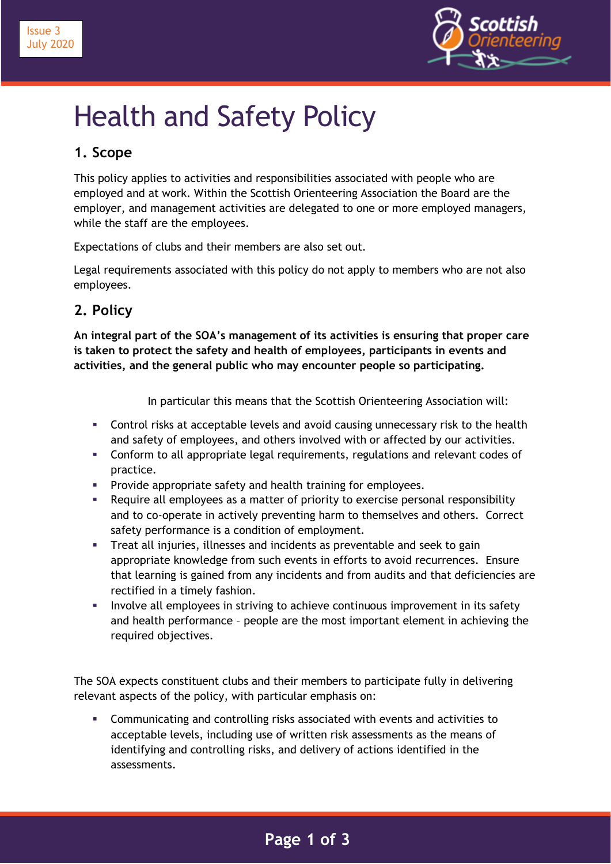

# Health and Safety Policy

## **1. Scope**

This policy applies to activities and responsibilities associated with people who are employed and at work. Within the Scottish Orienteering Association the Board are the employer, and management activities are delegated to one or more employed managers, while the staff are the employees.

Expectations of clubs and their members are also set out.

Legal requirements associated with this policy do not apply to members who are not also employees.

## **2. Policy**

**An integral part of the SOA's management of its activities is ensuring that proper care is taken to protect the safety and health of employees, participants in events and activities, and the general public who may encounter people so participating.**

In particular this means that the Scottish Orienteering Association will:

- **EXECONTED FIGHTS IN ACCEPTABLE LEVELS and avoid causing unnecessary risk to the health** and safety of employees, and others involved with or affected by our activities.
- Conform to all appropriate legal requirements, regulations and relevant codes of practice.
- Provide appropriate safety and health training for employees.
- Require all employees as a matter of priority to exercise personal responsibility and to co-operate in actively preventing harm to themselves and others. Correct safety performance is a condition of employment.
- Treat all injuries, illnesses and incidents as preventable and seek to gain appropriate knowledge from such events in efforts to avoid recurrences. Ensure that learning is gained from any incidents and from audits and that deficiencies are rectified in a timely fashion.
- **•** Involve all employees in striving to achieve continuous improvement in its safety and health performance – people are the most important element in achieving the required objectives.

The SOA expects constituent clubs and their members to participate fully in delivering relevant aspects of the policy, with particular emphasis on:

▪ Communicating and controlling risks associated with events and activities to acceptable levels, including use of written risk assessments as the means of identifying and controlling risks, and delivery of actions identified in the assessments.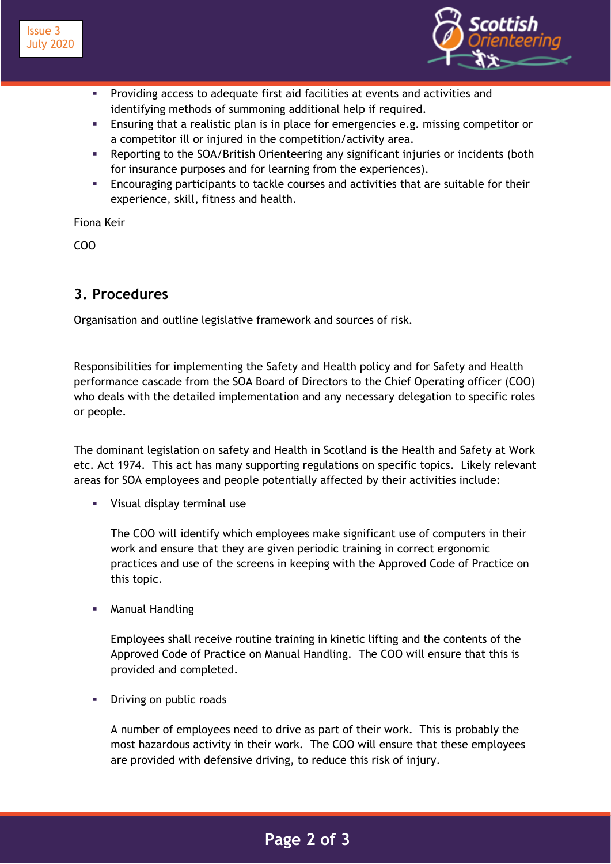

- Providing access to adequate first aid facilities at events and activities and identifying methods of summoning additional help if required.
- **Ensuring that a realistic plan is in place for emergencies e.g. missing competitor or** a competitor ill or injured in the competition/activity area.
- **EXECT** Reporting to the SOA/British Orienteering any significant injuries or incidents (both for insurance purposes and for learning from the experiences).
- Encouraging participants to tackle courses and activities that are suitable for their experience, skill, fitness and health.

Fiona Keir

COO

#### **3. Procedures**

Organisation and outline legislative framework and sources of risk.

Responsibilities for implementing the Safety and Health policy and for Safety and Health performance cascade from the SOA Board of Directors to the Chief Operating officer (COO) who deals with the detailed implementation and any necessary delegation to specific roles or people.

The dominant legislation on safety and Health in Scotland is the Health and Safety at Work etc. Act 1974. This act has many supporting regulations on specific topics. Likely relevant areas for SOA employees and people potentially affected by their activities include:

Visual display terminal use

The COO will identify which employees make significant use of computers in their work and ensure that they are given periodic training in correct ergonomic practices and use of the screens in keeping with the Approved Code of Practice on this topic.

**Manual Handling** 

Employees shall receive routine training in kinetic lifting and the contents of the Approved Code of Practice on Manual Handling. The COO will ensure that this is provided and completed.

Driving on public roads

A number of employees need to drive as part of their work. This is probably the most hazardous activity in their work. The COO will ensure that these employees are provided with defensive driving, to reduce this risk of injury.

## **2 Page 2 of 3**